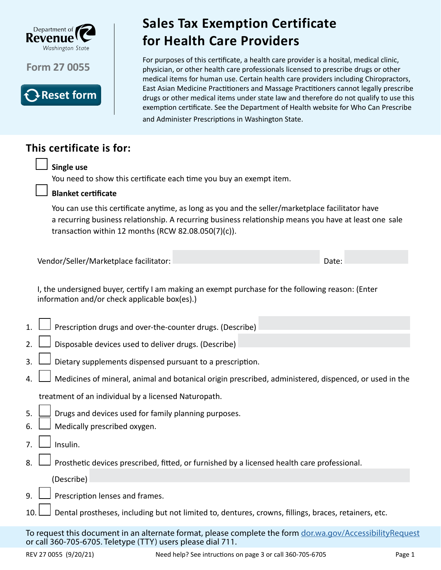

**Form 27 0055**



## Sales Tax Exemption Certificate for Health Care Providers **Sales Tax Exemption Certificate for Health Care Providers**

For purposes of this certificate, a health care provider is a hosital, medical clinic, physician, or other health care professionals licensed to prescribe drugs or other medical items for human use. Certain health care providers including Chiropractors, East Asian Medicine Practitioners and Massage Practitioners cannot legally prescribe drugs or other medical items under state law and therefore do not qualify to use this exemption certificate. See the Department of Health website for Who Can Prescribe and Administer Prescriptions in Washington State.

# **This certificate is for:**

## **Single use**

You need to show this certificate each time you buy an exempt item.



### **Blanket certificate**

You can use this certificate anytime, as long as you and the seller/marketplace facilitator have a recurring business relationship. A recurring business relationship means you have at least one sale transaction within 12 months (RCW 82.08.050(7)(c)).

Vendor/Seller/Marketplace facilitator: Date:

I, the undersigned buyer, certify I am making an exempt purchase for the following reason: (Enter information and/or check applicable box(es).)

|  |  | 1. $\Box$ Prescription drugs and over-the-counter drugs. (Describe) |  |
|--|--|---------------------------------------------------------------------|--|
|  |  |                                                                     |  |

2.  $\Box$  Disposable devices used to deliver drugs. (Describe)

- 3.  $\Box$  Dietary supplements dispensed pursuant to a prescription.
- 4.  $\Box$  Medicines of mineral, animal and botanical origin prescribed, administered, dispenced, or used in the

treatment of an individual by a licensed Naturopath.

- 5.  $\Box$  Drugs and devices used for family planning purposes.
- 6.  $\Box$  Medically prescribed oxygen.
- $7. \Box$  Insulin.
- 8.  $\Box$  Prosthetic devices prescribed, fitted, or furnished by a licensed health care professional.
	- (Describe)
- 9.  $\Box$  Prescription lenses and frames.
- 10. Dental prostheses, including but not limited to, dentures, crowns, fillings, braces, retainers, etc.

To request this document in an alternate format, please complete the form dor.wa.gov/AccessibilityRequest or call 360-705-6705. Teletype (TTY) users please dial 711.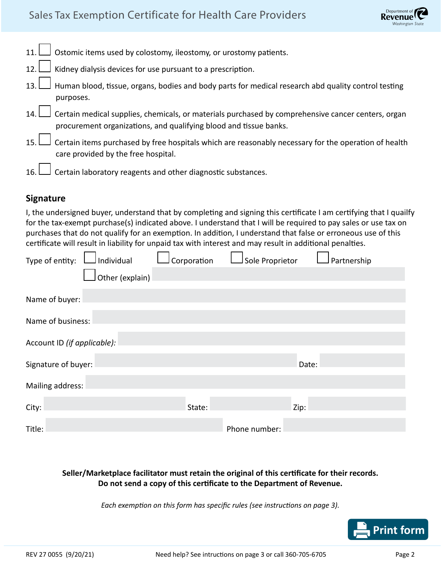## Sales Tax Exemption Certificate for Health Care Providers

| 11. Distomic items used by colostomy, ileostomy, or urostomy patients.                                                                                                             |
|------------------------------------------------------------------------------------------------------------------------------------------------------------------------------------|
| 12. I Kidney dialysis devices for use pursuant to a prescription.                                                                                                                  |
| Human blood, tissue, organs, bodies and body parts for medical research abd quality control testing 13.<br>purposes.                                                               |
| 14. $\Box$ Certain medical supplies, chemicals, or materials purchased by comprehensive cancer centers, organ<br>procurement organizations, and qualifying blood and tissue banks. |
| Certain items purchased by free hospitals which are reasonably necessary for the operation of health<br>care provided by the free hospital.                                        |
| 16. $\Box$ Certain laboratory reagents and other diagnostic substances.                                                                                                            |

#### **Signature**

I, the undersigned buyer, understand that by completing and signing this certificate I am certifying that I quailfy for the tax-exempt purchase(s) indicated above. I understand that I will be required to pay sales or use tax on purchases that do not qualify for an exemption. In addition, I understand that false or erroneous use of this certificate will result in liability for unpaid tax with interest and may result in additional penalties.

| Type of entity:             | Individual      | Corporation | Sole Proprietor |       | Partnership |  |  |  |  |
|-----------------------------|-----------------|-------------|-----------------|-------|-------------|--|--|--|--|
|                             | Other (explain) |             |                 |       |             |  |  |  |  |
| Name of buyer:              |                 |             |                 |       |             |  |  |  |  |
| Name of business:           |                 |             |                 |       |             |  |  |  |  |
| Account ID (if applicable): |                 |             |                 |       |             |  |  |  |  |
| Signature of buyer:         |                 |             |                 | Date: |             |  |  |  |  |
| Mailing address:            |                 |             |                 |       |             |  |  |  |  |
| City:                       |                 | State:      |                 | Zip:  |             |  |  |  |  |
| Title:                      |                 |             | Phone number:   |       |             |  |  |  |  |

#### **Seller/Marketplace facilitator must retain the original of this certificate for their records. Do not send a copy of this certificate to the Department of Revenue.**

*Each exemption on this form has specific rules (see instructions on page 3).*

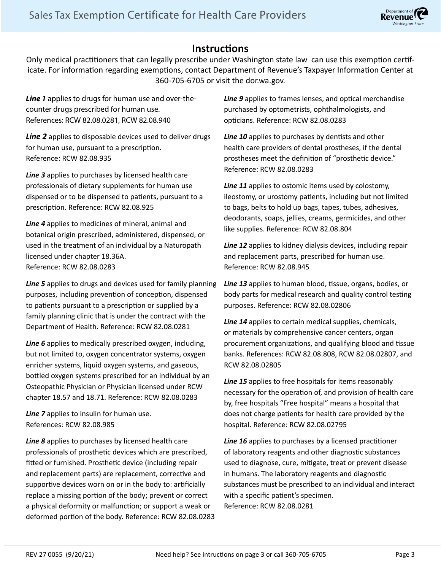### **Instructions**

Only medical practitioners that can legally prescribe under Washington state law can use this exemption certificate. For information regarding exemptions, contact Department of Revenue's Taxpayer Information Center at 360-705-6705 or visit the dor.wa.gov.

*Line 1* applies to drugs for human use and over-thecounter drugs prescribed for human use. References: RCW 82.08.0281, RCW 82.08.940

*Line 2* applies to disposable devices used to deliver drugs for human use, pursuant to a prescription. Reference: RCW 82.08.935

*Line 3* applies to purchases by licensed health care professionals of dietary supplements for human use dispensed or to be dispensed to patients, pursuant to a prescription. Reference: RCW 82.08.925

*Line 4* applies to medicines of mineral, animal and botanical origin prescribed, administered, dispensed, or used in the treatment of an individual by a Naturopath licensed under chapter 18.36A. Reference: RCW 82.08.0283

*Line 5* applies to drugs and devices used for family planning purposes, including prevention of conception, dispensed to patients pursuant to a prescription or supplied by a family planning clinic that is under the contract with the Department of Health. Reference: RCW 82.08.0281

*Line 6* applies to medically prescribed oxygen, including, but not limited to, oxygen concentrator systems, oxygen enricher systems, liquid oxygen systems, and gaseous, bottled oxygen systems prescribed for an individual by an Osteopathic Physician or Physician licensed under RCW chapter 18.57 and 18.71. Reference: RCW 82.08.0283

*Line 7* applies to insulin for human use. References: RCW 82.08.985

*Line 8* applies to purchases by licensed health care professionals of prosthetic devices which are prescribed, fitted or furnished. Prosthetic device (including repair and replacement parts) are replacement, corrective and supportive devices worn on or in the body to: artificially replace a missing portion of the body; prevent or correct a physical deformity or malfunction; or support a weak or deformed portion of the body. Reference: RCW 82.08.0283 Line 9 applies to frames lenses, and optical merchandise purchased by optometrists, ophthalmologists, and opticians. Reference: RCW 82.08.0283

*Line 10* applies to purchases by dentists and other health care providers of dental prostheses, if the dental prostheses meet the definition of "prosthetic device." Reference: RCW 82.08.0283

*Line 11* applies to ostomic items used by colostomy, ileostomy, or urostomy patients, including but not limited to bags, belts to hold up bags, tapes, tubes, adhesives, deodorants, soaps, jellies, creams, germicides, and other like supplies. Reference: RCW 82.08.804

*Line 12* applies to kidney dialysis devices, including repair and replacement parts, prescribed for human use. Reference: RCW 82.08.945

*Line 13* applies to human blood, tissue, organs, bodies, or body parts for medical research and quality control testing purposes. Reference: RCW 82.08.02806

*Line 14* applies to certain medical supplies, chemicals, or materials by comprehensive cancer centers, organ procurement organizations, and qualifying blood and tissue banks. References: RCW 82.08.808, RCW 82.08.02807, and RCW 82.08.02805

*Line 15* applies to free hospitals for items reasonably necessary for the operation of, and provision of health care by, free hospitals "Free hospital" means a hospital that does not charge patients for health care provided by the hospital. Reference: RCW 82.08.02795

*Line 16* applies to purchases by a licensed practitioner of laboratory reagents and other diagnostic substances used to diagnose, cure, mitigate, treat or prevent disease in humans. The laboratory reagents and diagnostic substances must be prescribed to an individual and interact with a specific patient's specimen. Reference: RCW 82.08.0281